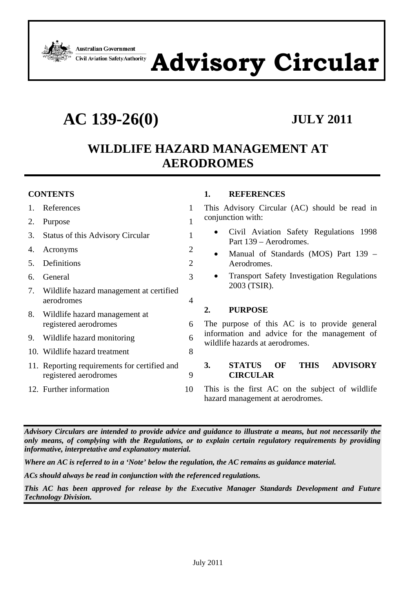

# **Advisory Circular**

**AC 139-26(0) JULY 2011**

## **WILDLIFE HAZARD MANAGEMENT AT AERODROMES**

#### **CONTENTS**

| 1. References                                                         | 1 |
|-----------------------------------------------------------------------|---|
| 2. Purpose                                                            | 1 |
| 3. Status of this Advisory Circular                                   | 1 |
| 4. Acronyms                                                           | 2 |
| 5. Definitions                                                        | 2 |
| 6. General                                                            | 3 |
| 7. Wildlife hazard management at certified<br>aerodromes              | 4 |
| 8. Wildlife hazard management at<br>registered aerodromes             | 6 |
| 9. Wildlife hazard monitoring                                         | 6 |
| 10. Wildlife hazard treatment                                         | 8 |
| 11. Reporting requirements for certified and<br>registered aerodromes | 9 |
| 12. Further information                                               |   |
|                                                                       |   |

#### **1. REFERENCES**

This Advisory Circular (AC) should be read in conjunction with:

- Civil Aviation Safety Regulations 1998 Part 139 – Aerodromes.
- Manual of Standards (MOS) Part 139 Aerodromes.
- Transport Safety Investigation Regulations 2003 (TSIR).

#### **2. PURPOSE**

The purpose of this AC is to provide general information and advice for the management of wildlife hazards at aerodromes.

#### **3. STATUS OF THIS ADVISORY CIRCULAR**

This is the first AC on the subject of wildlife hazard management at aerodromes.

*Advisory Circulars are intended to provide advice and guidance to illustrate a means, but not necessarily the only means, of complying with the Regulations, or to explain certain regulatory requirements by providing informative, interpretative and explanatory material.* 

*Where an AC is referred to in a 'Note' below the regulation, the AC remains as guidance material.* 

*ACs should always be read in conjunction with the referenced regulations.* 

*This AC has been approved for release by the Executive Manager Standards Development and Future Technology Division.*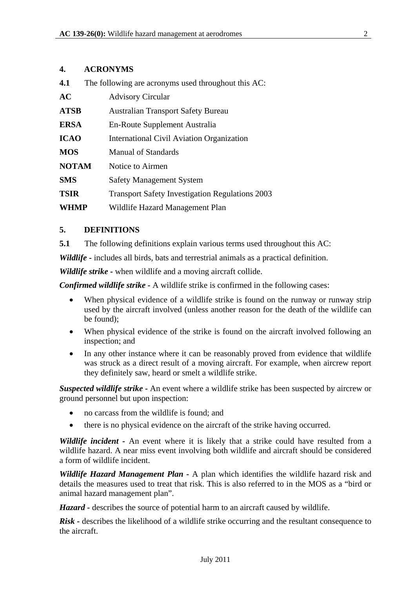#### **4. ACRONYMS**

| 4.1 |  | The following are acronyms used throughout this AC: |  |
|-----|--|-----------------------------------------------------|--|
|     |  |                                                     |  |

| AC           | <b>Advisory Circular</b>                               |
|--------------|--------------------------------------------------------|
| <b>ATSB</b>  | <b>Australian Transport Safety Bureau</b>              |
| <b>ERSA</b>  | En-Route Supplement Australia                          |
| <b>ICAO</b>  | International Civil Aviation Organization              |
| <b>MOS</b>   | <b>Manual of Standards</b>                             |
| <b>NOTAM</b> | Notice to Airmen                                       |
| <b>SMS</b>   | <b>Safety Management System</b>                        |
| <b>TSIR</b>  | <b>Transport Safety Investigation Regulations 2003</b> |
| <b>WHMP</b>  | Wildlife Hazard Management Plan                        |

#### **5. DEFINITIONS**

**5.1** The following definitions explain various terms used throughout this AC:

*Wildlife -* includes all birds, bats and terrestrial animals as a practical definition.

*Wildlife strike -* when wildlife and a moving aircraft collide.

*Confirmed wildlife strike -* A wildlife strike is confirmed in the following cases:

- When physical evidence of a wildlife strike is found on the runway or runway strip used by the aircraft involved (unless another reason for the death of the wildlife can be found);
- When physical evidence of the strike is found on the aircraft involved following an inspection; and
- In any other instance where it can be reasonably proved from evidence that wildlife was struck as a direct result of a moving aircraft. For example, when aircrew report they definitely saw, heard or smelt a wildlife strike.

*Suspected wildlife strike -* An event where a wildlife strike has been suspected by aircrew or ground personnel but upon inspection:

- no carcass from the wildlife is found; and
- there is no physical evidence on the aircraft of the strike having occurred.

*Wildlife incident -* An event where it is likely that a strike could have resulted from a wildlife hazard. A near miss event involving both wildlife and aircraft should be considered a form of wildlife incident.

*Wildlife Hazard Management Plan -* A plan which identifies the wildlife hazard risk and details the measures used to treat that risk. This is also referred to in the MOS as a "bird or animal hazard management plan".

*Hazard -* describes the source of potential harm to an aircraft caused by wildlife.

*Risk -* describes the likelihood of a wildlife strike occurring and the resultant consequence to the aircraft.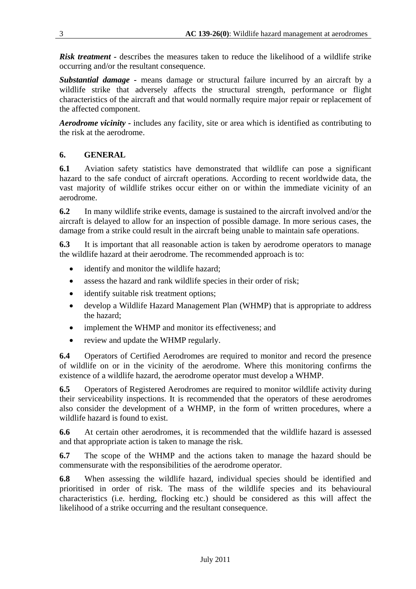*Risk treatment -* describes the measures taken to reduce the likelihood of a wildlife strike occurring and/or the resultant consequence.

*Substantial damage -* means damage or structural failure incurred by an aircraft by a wildlife strike that adversely affects the structural strength, performance or flight characteristics of the aircraft and that would normally require major repair or replacement of the affected component.

*Aerodrome vicinity -* includes any facility, site or area which is identified as contributing to the risk at the aerodrome.

#### **6. GENERAL**

**6.1** Aviation safety statistics have demonstrated that wildlife can pose a significant hazard to the safe conduct of aircraft operations. According to recent worldwide data, the vast majority of wildlife strikes occur either on or within the immediate vicinity of an aerodrome.

**6.2** In many wildlife strike events, damage is sustained to the aircraft involved and/or the aircraft is delayed to allow for an inspection of possible damage. In more serious cases, the damage from a strike could result in the aircraft being unable to maintain safe operations.

**6.3** It is important that all reasonable action is taken by aerodrome operators to manage the wildlife hazard at their aerodrome. The recommended approach is to:

- identify and monitor the wildlife hazard;
- assess the hazard and rank wildlife species in their order of risk;
- identify suitable risk treatment options;
- develop a Wildlife Hazard Management Plan (WHMP) that is appropriate to address the hazard;
- implement the WHMP and monitor its effectiveness: and
- review and update the WHMP regularly.

**6.4** Operators of Certified Aerodromes are required to monitor and record the presence of wildlife on or in the vicinity of the aerodrome. Where this monitoring confirms the existence of a wildlife hazard, the aerodrome operator must develop a WHMP.

**6.5** Operators of Registered Aerodromes are required to monitor wildlife activity during their serviceability inspections. It is recommended that the operators of these aerodromes also consider the development of a WHMP, in the form of written procedures, where a wildlife hazard is found to exist.

**6.6** At certain other aerodromes, it is recommended that the wildlife hazard is assessed and that appropriate action is taken to manage the risk.

**6.7** The scope of the WHMP and the actions taken to manage the hazard should be commensurate with the responsibilities of the aerodrome operator.

**6.8** When assessing the wildlife hazard, individual species should be identified and prioritised in order of risk. The mass of the wildlife species and its behavioural characteristics (i.e. herding, flocking etc.) should be considered as this will affect the likelihood of a strike occurring and the resultant consequence.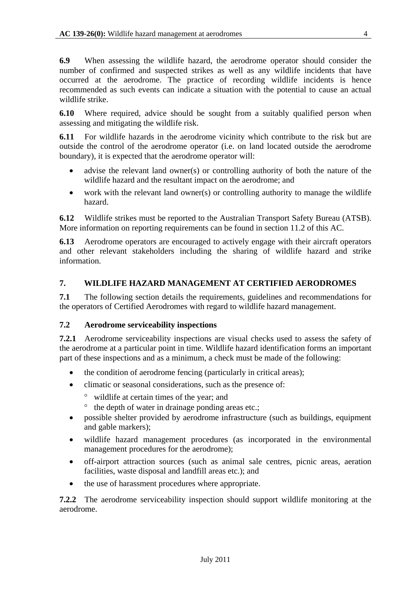**6.9** When assessing the wildlife hazard, the aerodrome operator should consider the number of confirmed and suspected strikes as well as any wildlife incidents that have occurred at the aerodrome. The practice of recording wildlife incidents is hence recommended as such events can indicate a situation with the potential to cause an actual wildlife strike.

**6.10** Where required, advice should be sought from a suitably qualified person when assessing and mitigating the wildlife risk.

**6.11** For wildlife hazards in the aerodrome vicinity which contribute to the risk but are outside the control of the aerodrome operator (i.e. on land located outside the aerodrome boundary), it is expected that the aerodrome operator will:

- advise the relevant land owner(s) or controlling authority of both the nature of the wildlife hazard and the resultant impact on the aerodrome; and
- work with the relevant land owner(s) or controlling authority to manage the wildlife hazard.

**6.12** Wildlife strikes must be reported to the Australian Transport Safety Bureau (ATSB). More information on reporting requirements can be found in section 11.2 of this AC.

**6.13** Aerodrome operators are encouraged to actively engage with their aircraft operators and other relevant stakeholders including the sharing of wildlife hazard and strike information.

#### **7. WILDLIFE HAZARD MANAGEMENT AT CERTIFIED AERODROMES**

**7.1** The following section details the requirements, guidelines and recommendations for the operators of Certified Aerodromes with regard to wildlife hazard management.

#### **7.2 Aerodrome serviceability inspections**

**7.2.1** Aerodrome serviceability inspections are visual checks used to assess the safety of the aerodrome at a particular point in time. Wildlife hazard identification forms an important part of these inspections and as a minimum, a check must be made of the following:

- the condition of aerodrome fencing (particularly in critical areas);
- climatic or seasonal considerations, such as the presence of:
	- ° wildlife at certain times of the year; and
	- ° the depth of water in drainage ponding areas etc.;
- possible shelter provided by aerodrome infrastructure (such as buildings, equipment and gable markers);
- wildlife hazard management procedures (as incorporated in the environmental management procedures for the aerodrome);
- off-airport attraction sources (such as animal sale centres, picnic areas, aeration facilities, waste disposal and landfill areas etc.); and
- the use of harassment procedures where appropriate.

**7.2.2** The aerodrome serviceability inspection should support wildlife monitoring at the aerodrome.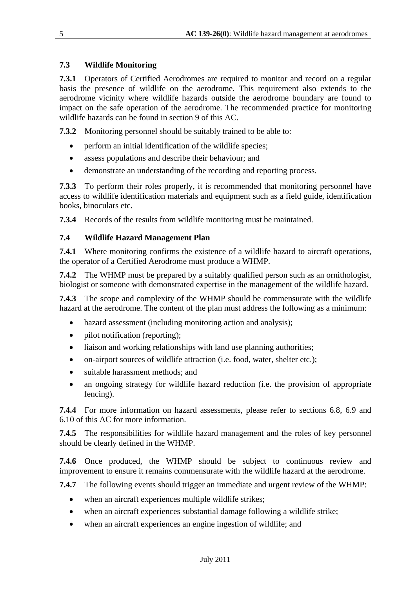#### **7.3 Wildlife Monitoring**

**7.3.1** Operators of Certified Aerodromes are required to monitor and record on a regular basis the presence of wildlife on the aerodrome. This requirement also extends to the aerodrome vicinity where wildlife hazards outside the aerodrome boundary are found to impact on the safe operation of the aerodrome. The recommended practice for monitoring wildlife hazards can be found in section 9 of this AC.

**7.3.2** Monitoring personnel should be suitably trained to be able to:

- perform an initial identification of the wildlife species;
- assess populations and describe their behaviour; and
- demonstrate an understanding of the recording and reporting process.

**7.3.3** To perform their roles properly, it is recommended that monitoring personnel have access to wildlife identification materials and equipment such as a field guide, identification books, binoculars etc.

**7.3.4** Records of the results from wildlife monitoring must be maintained.

#### **7.4 Wildlife Hazard Management Plan**

**7.4.1** Where monitoring confirms the existence of a wildlife hazard to aircraft operations, the operator of a Certified Aerodrome must produce a WHMP.

**7.4.2** The WHMP must be prepared by a suitably qualified person such as an ornithologist, biologist or someone with demonstrated expertise in the management of the wildlife hazard.

**7.4.3** The scope and complexity of the WHMP should be commensurate with the wildlife hazard at the aerodrome. The content of the plan must address the following as a minimum:

- hazard assessment (including monitoring action and analysis);
- pilot notification (reporting);
- liaison and working relationships with land use planning authorities;
- on-airport sources of wildlife attraction (i.e. food, water, shelter etc.);
- suitable harassment methods; and
- an ongoing strategy for wildlife hazard reduction (i.e. the provision of appropriate fencing).

**7.4.4** For more information on hazard assessments, please refer to sections 6.8, 6.9 and 6.10 of this AC for more information.

**7.4.5** The responsibilities for wildlife hazard management and the roles of key personnel should be clearly defined in the WHMP.

**7.4.6** Once produced, the WHMP should be subject to continuous review and improvement to ensure it remains commensurate with the wildlife hazard at the aerodrome.

**7.4.7** The following events should trigger an immediate and urgent review of the WHMP:

- when an aircraft experiences multiple wildlife strikes;
- when an aircraft experiences substantial damage following a wildlife strike;
- when an aircraft experiences an engine ingestion of wildlife; and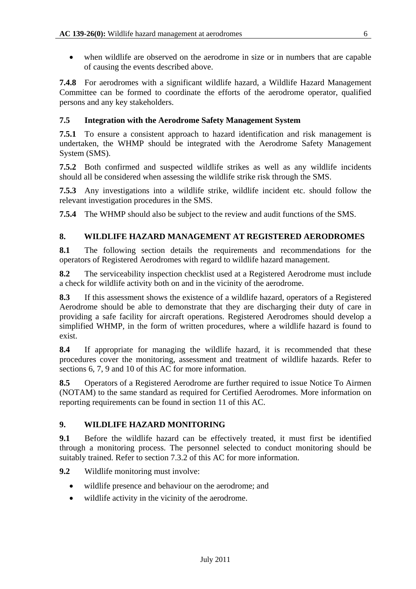• when wildlife are observed on the aerodrome in size or in numbers that are capable of causing the events described above.

**7.4.8** For aerodromes with a significant wildlife hazard, a Wildlife Hazard Management Committee can be formed to coordinate the efforts of the aerodrome operator, qualified persons and any key stakeholders.

#### **7.5 Integration with the Aerodrome Safety Management System**

**7.5.1** To ensure a consistent approach to hazard identification and risk management is undertaken, the WHMP should be integrated with the Aerodrome Safety Management System (SMS).

**7.5.2** Both confirmed and suspected wildlife strikes as well as any wildlife incidents should all be considered when assessing the wildlife strike risk through the SMS.

**7.5.3** Any investigations into a wildlife strike, wildlife incident etc. should follow the relevant investigation procedures in the SMS.

**7.5.4** The WHMP should also be subject to the review and audit functions of the SMS.

#### **8. WILDLIFE HAZARD MANAGEMENT AT REGISTERED AERODROMES**

**8.1** The following section details the requirements and recommendations for the operators of Registered Aerodromes with regard to wildlife hazard management.

**8.2** The serviceability inspection checklist used at a Registered Aerodrome must include a check for wildlife activity both on and in the vicinity of the aerodrome.

**8.3** If this assessment shows the existence of a wildlife hazard, operators of a Registered Aerodrome should be able to demonstrate that they are discharging their duty of care in providing a safe facility for aircraft operations. Registered Aerodromes should develop a simplified WHMP, in the form of written procedures, where a wildlife hazard is found to exist.

**8.4** If appropriate for managing the wildlife hazard, it is recommended that these procedures cover the monitoring, assessment and treatment of wildlife hazards. Refer to sections 6, 7, 9 and 10 of this AC for more information.

**8.5** Operators of a Registered Aerodrome are further required to issue Notice To Airmen (NOTAM) to the same standard as required for Certified Aerodromes. More information on reporting requirements can be found in section 11 of this AC.

#### **9. WILDLIFE HAZARD MONITORING**

**9.1** Before the wildlife hazard can be effectively treated, it must first be identified through a monitoring process. The personnel selected to conduct monitoring should be suitably trained. Refer to section 7.3.2 of this AC for more information.

**9.2** Wildlife monitoring must involve:

- wildlife presence and behaviour on the aerodrome; and
- wildlife activity in the vicinity of the aerodrome.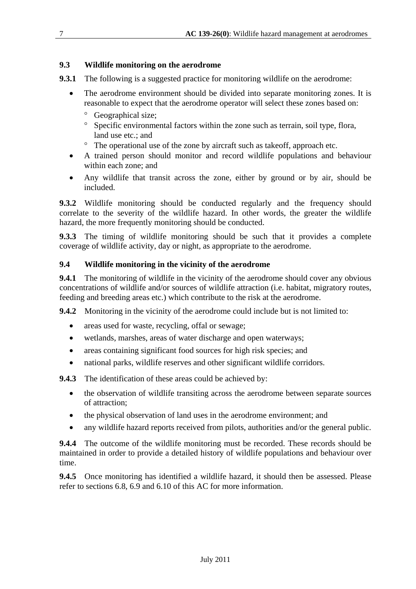#### **9.3 Wildlife monitoring on the aerodrome**

- **9.3.1** The following is a suggested practice for monitoring wildlife on the aerodrome:
	- The aerodrome environment should be divided into separate monitoring zones. It is reasonable to expect that the aerodrome operator will select these zones based on:
		- ° Geographical size;
		- ° Specific environmental factors within the zone such as terrain, soil type, flora, land use etc.; and
		- ° The operational use of the zone by aircraft such as takeoff, approach etc.
	- A trained person should monitor and record wildlife populations and behaviour within each zone; and
	- Any wildlife that transit across the zone, either by ground or by air, should be included.

**9.3.2** Wildlife monitoring should be conducted regularly and the frequency should correlate to the severity of the wildlife hazard. In other words, the greater the wildlife hazard, the more frequently monitoring should be conducted.

**9.3.3** The timing of wildlife monitoring should be such that it provides a complete coverage of wildlife activity, day or night, as appropriate to the aerodrome.

#### **9.4 Wildlife monitoring in the vicinity of the aerodrome**

**9.4.1** The monitoring of wildlife in the vicinity of the aerodrome should cover any obvious concentrations of wildlife and/or sources of wildlife attraction (i.e. habitat, migratory routes, feeding and breeding areas etc.) which contribute to the risk at the aerodrome.

**9.4.2** Monitoring in the vicinity of the aerodrome could include but is not limited to:

- areas used for waste, recycling, offal or sewage;
- wetlands, marshes, areas of water discharge and open waterways;
- areas containing significant food sources for high risk species; and
- national parks, wildlife reserves and other significant wildlife corridors.

**9.4.3** The identification of these areas could be achieved by:

- the observation of wildlife transiting across the aerodrome between separate sources of attraction;
- the physical observation of land uses in the aerodrome environment; and
- any wildlife hazard reports received from pilots, authorities and/or the general public.

**9.4.4** The outcome of the wildlife monitoring must be recorded. These records should be maintained in order to provide a detailed history of wildlife populations and behaviour over time.

**9.4.5** Once monitoring has identified a wildlife hazard, it should then be assessed. Please refer to sections 6.8, 6.9 and 6.10 of this AC for more information.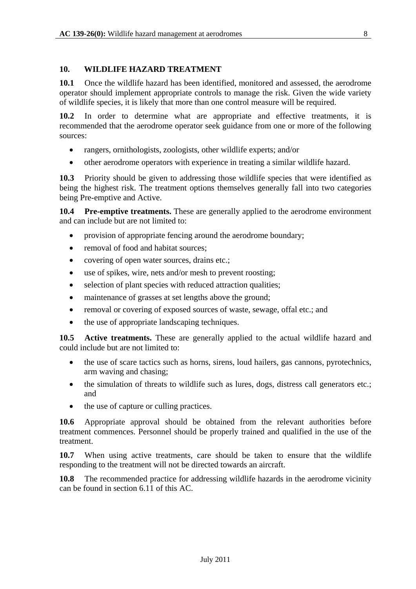#### **10. WILDLIFE HAZARD TREATMENT**

**10.1** Once the wildlife hazard has been identified, monitored and assessed, the aerodrome operator should implement appropriate controls to manage the risk. Given the wide variety of wildlife species, it is likely that more than one control measure will be required.

**10.2** In order to determine what are appropriate and effective treatments, it is recommended that the aerodrome operator seek guidance from one or more of the following sources:

- rangers, ornithologists, zoologists, other wildlife experts; and/or
- other aerodrome operators with experience in treating a similar wildlife hazard.

**10.3** Priority should be given to addressing those wildlife species that were identified as being the highest risk. The treatment options themselves generally fall into two categories being Pre-emptive and Active.

**10.4 Pre-emptive treatments.** These are generally applied to the aerodrome environment and can include but are not limited to:

- provision of appropriate fencing around the aerodrome boundary;
- removal of food and habitat sources;
- covering of open water sources, drains etc.;
- use of spikes, wire, nets and/or mesh to prevent roosting;
- selection of plant species with reduced attraction qualities;
- maintenance of grasses at set lengths above the ground;
- removal or covering of exposed sources of waste, sewage, offal etc.; and
- the use of appropriate landscaping techniques.

**10.5 Active treatments.** These are generally applied to the actual wildlife hazard and could include but are not limited to:

- the use of scare tactics such as horns, sirens, loud hailers, gas cannons, pyrotechnics, arm waving and chasing;
- the simulation of threats to wildlife such as lures, dogs, distress call generators etc.; and
- the use of capture or culling practices.

**10.6** Appropriate approval should be obtained from the relevant authorities before treatment commences. Personnel should be properly trained and qualified in the use of the treatment.

**10.7** When using active treatments, care should be taken to ensure that the wildlife responding to the treatment will not be directed towards an aircraft.

**10.8** The recommended practice for addressing wildlife hazards in the aerodrome vicinity can be found in section 6.11 of this AC.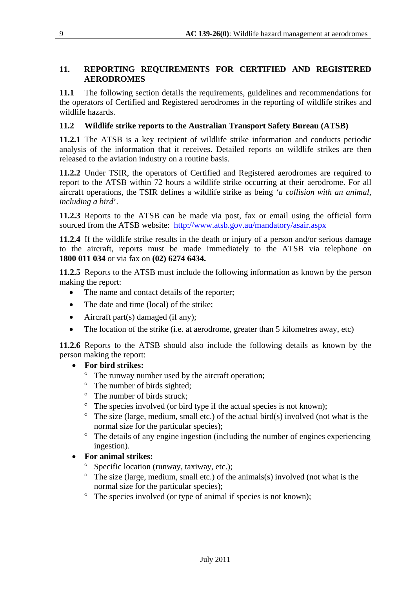#### **11. REPORTING REQUIREMENTS FOR CERTIFIED AND REGISTERED AERODROMES**

**11.1** The following section details the requirements, guidelines and recommendations for the operators of Certified and Registered aerodromes in the reporting of wildlife strikes and wildlife hazards.

#### **11.2 Wildlife strike reports to the Australian Transport Safety Bureau (ATSB)**

**11.2.1** The ATSB is a key recipient of wildlife strike information and conducts periodic analysis of the information that it receives. Detailed reports on wildlife strikes are then released to the aviation industry on a routine basis.

**11.2.2** Under TSIR, the operators of Certified and Registered aerodromes are required to report to the ATSB within 72 hours a wildlife strike occurring at their aerodrome. For all aircraft operations, the TSIR defines a wildlife strike as being *'a collision with an animal, including a bird*'.

**11.2.3** Reports to the ATSB can be made via post, fax or email using the official form sourced from the ATSB website: http://www.atsb.gov.au/mandatory/asair.aspx

**11.2.4** If the wildlife strike results in the death or injury of a person and/or serious damage to the aircraft, reports must be made immediately to the ATSB via telephone on **1800 011 034** or via fax on **(02) 6274 6434.**

**11.2.5** Reports to the ATSB must include the following information as known by the person making the report:

- The name and contact details of the reporter;
- The date and time (local) of the strike;
- Aircraft part(s) damaged (if any);
- The location of the strike (i.e. at aerodrome, greater than 5 kilometres away, etc)

**11.2.6** Reports to the ATSB should also include the following details as known by the person making the report:

#### • **For bird strikes:**

- ° The runway number used by the aircraft operation;
- ° The number of birds sighted;
- ° The number of birds struck;
- ° The species involved (or bird type if the actual species is not known);
- $\degree$  The size (large, medium, small etc.) of the actual bird(s) involved (not what is the normal size for the particular species);
- ° The details of any engine ingestion (including the number of engines experiencing ingestion).

#### • **For animal strikes:**

- ° Specific location (runway, taxiway, etc.);
- $\degree$  The size (large, medium, small etc.) of the animals(s) involved (not what is the normal size for the particular species);
- ° The species involved (or type of animal if species is not known);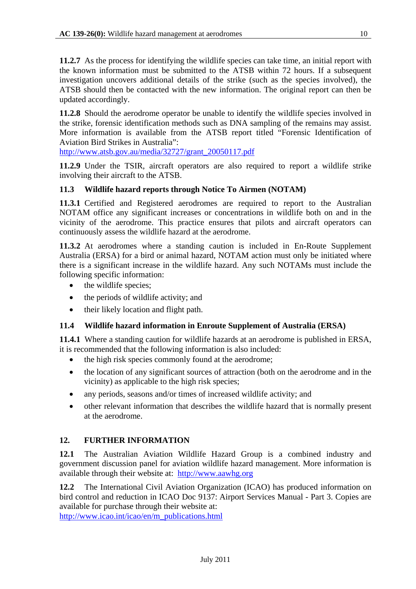**11.2.7** As the process for identifying the wildlife species can take time, an initial report with the known information must be submitted to the ATSB within 72 hours. If a subsequent investigation uncovers additional details of the strike (such as the species involved), the ATSB should then be contacted with the new information. The original report can then be updated accordingly.

**11.2.8** Should the aerodrome operator be unable to identify the wildlife species involved in the strike, forensic identification methods such as DNA sampling of the remains may assist. More information is available from the ATSB report titled "Forensic Identification of Aviation Bird Strikes in Australia":

http://www.atsb.gov.au/media/32727/grant\_20050117.pdf

**11.2.9** Under the TSIR, aircraft operators are also required to report a wildlife strike involving their aircraft to the ATSB.

#### **11.3 Wildlife hazard reports through Notice To Airmen (NOTAM)**

**11.3.1** Certified and Registered aerodromes are required to report to the Australian NOTAM office any significant increases or concentrations in wildlife both on and in the vicinity of the aerodrome. This practice ensures that pilots and aircraft operators can continuously assess the wildlife hazard at the aerodrome.

**11.3.2** At aerodromes where a standing caution is included in En-Route Supplement Australia (ERSA) for a bird or animal hazard, NOTAM action must only be initiated where there is a significant increase in the wildlife hazard. Any such NOTAMs must include the following specific information:

- the wildlife species;
- the periods of wildlife activity; and
- their likely location and flight path.

#### **11.4 Wildlife hazard information in Enroute Supplement of Australia (ERSA)**

**11.4.1** Where a standing caution for wildlife hazards at an aerodrome is published in ERSA, it is recommended that the following information is also included:

- the high risk species commonly found at the aerodrome;
- the location of any significant sources of attraction (both on the aerodrome and in the vicinity) as applicable to the high risk species;
- any periods, seasons and/or times of increased wildlife activity; and
- other relevant information that describes the wildlife hazard that is normally present at the aerodrome.

#### **12. FURTHER INFORMATION**

**12.1** The Australian Aviation Wildlife Hazard Group is a combined industry and government discussion panel for aviation wildlife hazard management. More information is available through their website at: http://www.aawhg.org

**12.2** The International Civil Aviation Organization (ICAO) has produced information on bird control and reduction in ICAO Doc 9137: Airport Services Manual - Part 3. Copies are available for purchase through their website at:

http://www.icao.int/icao/en/m\_publications.html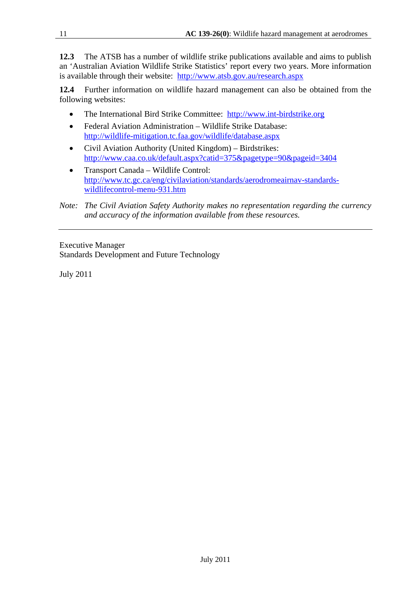**12.3** The ATSB has a number of wildlife strike publications available and aims to publish an 'Australian Aviation Wildlife Strike Statistics' report every two years. More information is available through their website: http://www.atsb.gov.au/research.aspx

**12.4** Further information on wildlife hazard management can also be obtained from the following websites:

- The International Bird Strike Committee: http://www.int-birdstrike.org
- Federal Aviation Administration Wildlife Strike Database: http://wildlife-mitigation.tc.faa.gov/wildlife/database.aspx
- Civil Aviation Authority (United Kingdom) Birdstrikes: http://www.caa.co.uk/default.aspx?catid=375&pagetype=90&pageid=3404
- Transport Canada Wildlife Control: http://www.tc.gc.ca/eng/civilaviation/standards/aerodromeairnav-standardswildlifecontrol-menu-931.htm
- *Note: The Civil Aviation Safety Authority makes no representation regarding the currency and accuracy of the information available from these resources.*

Executive Manager Standards Development and Future Technology

July 2011